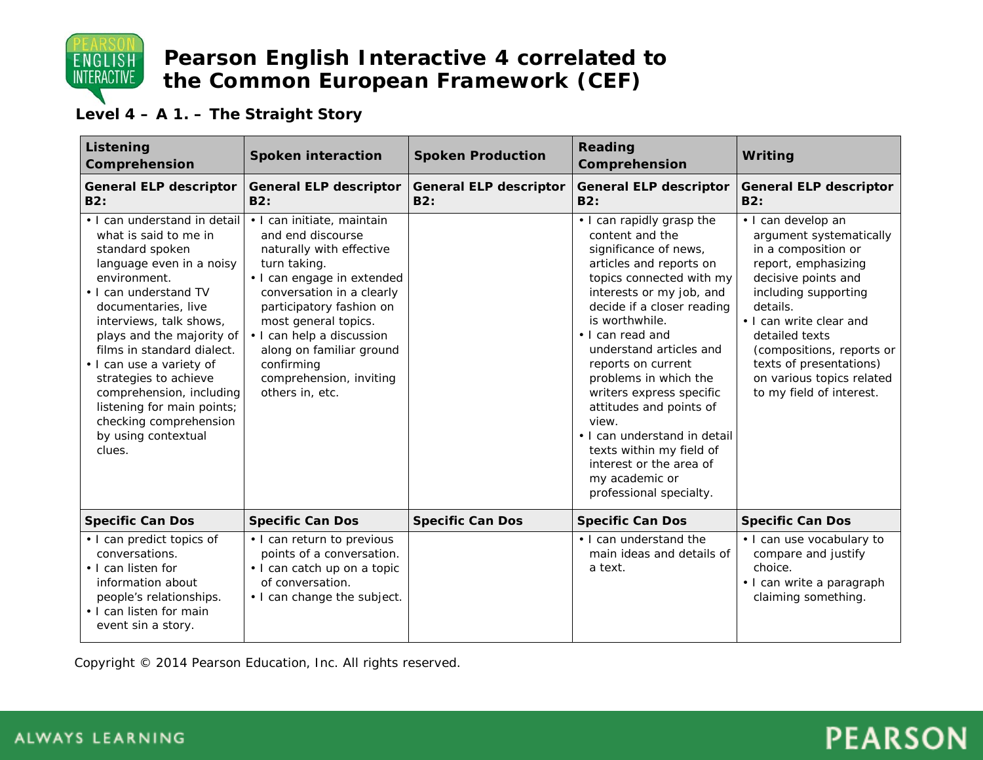

#### **Level 4 – A 1. – The Straight Story**

| Listening<br>Comprehension                                                                                                                                                                                                                                                                                                                                                                                                           | <b>Spoken interaction</b>                                                                                                                                                                                                                                                                                                       | <b>Spoken Production</b>             | <b>Reading</b><br>Comprehension                                                                                                                                                                                                                                                                                                                                                                                                                                                                            | Writing                                                                                                                                                                                                                                                                                                              |
|--------------------------------------------------------------------------------------------------------------------------------------------------------------------------------------------------------------------------------------------------------------------------------------------------------------------------------------------------------------------------------------------------------------------------------------|---------------------------------------------------------------------------------------------------------------------------------------------------------------------------------------------------------------------------------------------------------------------------------------------------------------------------------|--------------------------------------|------------------------------------------------------------------------------------------------------------------------------------------------------------------------------------------------------------------------------------------------------------------------------------------------------------------------------------------------------------------------------------------------------------------------------------------------------------------------------------------------------------|----------------------------------------------------------------------------------------------------------------------------------------------------------------------------------------------------------------------------------------------------------------------------------------------------------------------|
| <b>General ELP descriptor</b><br>B2:                                                                                                                                                                                                                                                                                                                                                                                                 | <b>General ELP descriptor</b><br>B2:                                                                                                                                                                                                                                                                                            | <b>General ELP descriptor</b><br>B2: | <b>General ELP descriptor</b><br><b>B2:</b>                                                                                                                                                                                                                                                                                                                                                                                                                                                                | <b>General ELP descriptor</b><br>B2:                                                                                                                                                                                                                                                                                 |
| . I can understand in detail<br>what is said to me in<br>standard spoken<br>language even in a noisy<br>environment.<br>• I can understand TV<br>documentaries, live<br>interviews, talk shows,<br>plays and the majority of<br>films in standard dialect.<br>• I can use a variety of<br>strategies to achieve<br>comprehension, including<br>listening for main points;<br>checking comprehension<br>by using contextual<br>clues. | · I can initiate, maintain<br>and end discourse<br>naturally with effective<br>turn taking.<br>• I can engage in extended<br>conversation in a clearly<br>participatory fashion on<br>most general topics.<br>• I can help a discussion<br>along on familiar ground<br>confirming<br>comprehension, inviting<br>others in, etc. |                                      | • I can rapidly grasp the<br>content and the<br>significance of news,<br>articles and reports on<br>topics connected with my<br>interests or my job, and<br>decide if a closer reading<br>is worthwhile.<br>• I can read and<br>understand articles and<br>reports on current<br>problems in which the<br>writers express specific<br>attitudes and points of<br>view.<br>• I can understand in detail<br>texts within my field of<br>interest or the area of<br>my academic or<br>professional specialty. | · I can develop an<br>argument systematically<br>in a composition or<br>report, emphasizing<br>decisive points and<br>including supporting<br>details.<br>• I can write clear and<br>detailed texts<br>(compositions, reports or<br>texts of presentations)<br>on various topics related<br>to my field of interest. |
| <b>Specific Can Dos</b>                                                                                                                                                                                                                                                                                                                                                                                                              | <b>Specific Can Dos</b>                                                                                                                                                                                                                                                                                                         | <b>Specific Can Dos</b>              | <b>Specific Can Dos</b>                                                                                                                                                                                                                                                                                                                                                                                                                                                                                    | <b>Specific Can Dos</b>                                                                                                                                                                                                                                                                                              |
| • I can predict topics of<br>conversations.<br>• I can listen for<br>information about<br>people's relationships.<br>• I can listen for main<br>event sin a story.                                                                                                                                                                                                                                                                   | • I can return to previous<br>points of a conversation.<br>· I can catch up on a topic<br>of conversation.<br>• I can change the subject.                                                                                                                                                                                       |                                      | • I can understand the<br>main ideas and details of<br>a text.                                                                                                                                                                                                                                                                                                                                                                                                                                             | · I can use vocabulary to<br>compare and justify<br>choice.<br>· I can write a paragraph<br>claiming something.                                                                                                                                                                                                      |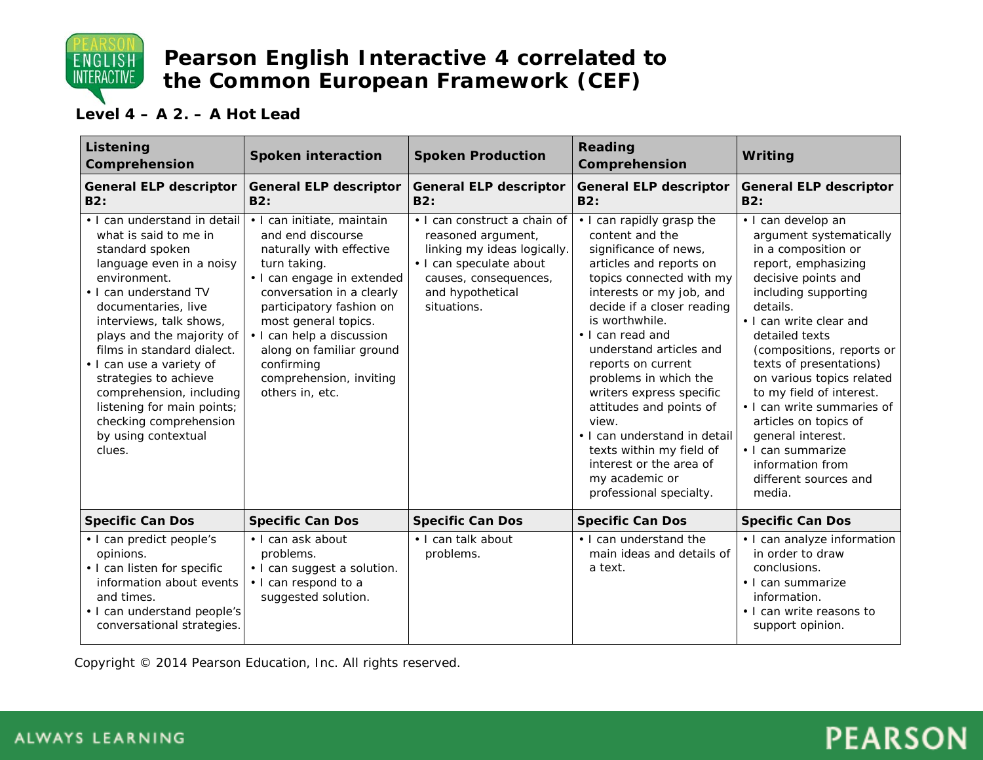

#### **Level 4 – A 2. – A Hot Lead**

| Listening<br>Comprehension                                                                                                                                                                                                                                                                                                                                                                                                           | <b>Spoken interaction</b>                                                                                                                                                                                                                                                                                                       | <b>Spoken Production</b>                                                                                                                                                 | Reading<br>Comprehension                                                                                                                                                                                                                                                                                                                                                                                                                                                                                   | Writing                                                                                                                                                                                                                                                                                                                                                                                                                                                                      |
|--------------------------------------------------------------------------------------------------------------------------------------------------------------------------------------------------------------------------------------------------------------------------------------------------------------------------------------------------------------------------------------------------------------------------------------|---------------------------------------------------------------------------------------------------------------------------------------------------------------------------------------------------------------------------------------------------------------------------------------------------------------------------------|--------------------------------------------------------------------------------------------------------------------------------------------------------------------------|------------------------------------------------------------------------------------------------------------------------------------------------------------------------------------------------------------------------------------------------------------------------------------------------------------------------------------------------------------------------------------------------------------------------------------------------------------------------------------------------------------|------------------------------------------------------------------------------------------------------------------------------------------------------------------------------------------------------------------------------------------------------------------------------------------------------------------------------------------------------------------------------------------------------------------------------------------------------------------------------|
| <b>General ELP descriptor</b><br>B2:                                                                                                                                                                                                                                                                                                                                                                                                 | <b>General ELP descriptor</b><br>B2:                                                                                                                                                                                                                                                                                            | <b>General ELP descriptor</b><br><b>B2:</b>                                                                                                                              | <b>General ELP descriptor</b><br><b>B2:</b>                                                                                                                                                                                                                                                                                                                                                                                                                                                                | <b>General ELP descriptor</b><br>B2:                                                                                                                                                                                                                                                                                                                                                                                                                                         |
| • I can understand in detail<br>what is said to me in<br>standard spoken<br>language even in a noisy<br>environment.<br>• I can understand TV<br>documentaries, live<br>interviews, talk shows,<br>plays and the majority of<br>films in standard dialect.<br>• I can use a variety of<br>strategies to achieve<br>comprehension, including<br>listening for main points;<br>checking comprehension<br>by using contextual<br>clues. | · I can initiate, maintain<br>and end discourse<br>naturally with effective<br>turn taking.<br>• I can engage in extended<br>conversation in a clearly<br>participatory fashion on<br>most general topics.<br>• I can help a discussion<br>along on familiar ground<br>confirming<br>comprehension, inviting<br>others in, etc. | • I can construct a chain of<br>reasoned argument,<br>linking my ideas logically.<br>· I can speculate about<br>causes, consequences,<br>and hypothetical<br>situations. | • I can rapidly grasp the<br>content and the<br>significance of news,<br>articles and reports on<br>topics connected with my<br>interests or my job, and<br>decide if a closer reading<br>is worthwhile.<br>• I can read and<br>understand articles and<br>reports on current<br>problems in which the<br>writers express specific<br>attitudes and points of<br>view.<br>• I can understand in detail<br>texts within my field of<br>interest or the area of<br>my academic or<br>professional specialty. | · I can develop an<br>argument systematically<br>in a composition or<br>report, emphasizing<br>decisive points and<br>including supporting<br>details.<br>• I can write clear and<br>detailed texts<br>(compositions, reports or<br>texts of presentations)<br>on various topics related<br>to my field of interest.<br>• I can write summaries of<br>articles on topics of<br>general interest.<br>· I can summarize<br>information from<br>different sources and<br>media. |
| <b>Specific Can Dos</b>                                                                                                                                                                                                                                                                                                                                                                                                              | <b>Specific Can Dos</b>                                                                                                                                                                                                                                                                                                         | <b>Specific Can Dos</b>                                                                                                                                                  | <b>Specific Can Dos</b>                                                                                                                                                                                                                                                                                                                                                                                                                                                                                    | <b>Specific Can Dos</b>                                                                                                                                                                                                                                                                                                                                                                                                                                                      |
| • I can predict people's<br>opinions.<br>• I can listen for specific<br>information about events<br>and times.<br>• I can understand people's<br>conversational strategies.                                                                                                                                                                                                                                                          | • I can ask about<br>problems.<br>• I can suggest a solution.<br>• I can respond to a<br>suggested solution.                                                                                                                                                                                                                    | • I can talk about<br>problems.                                                                                                                                          | • I can understand the<br>main ideas and details of<br>a text.                                                                                                                                                                                                                                                                                                                                                                                                                                             | • I can analyze information<br>in order to draw<br>conclusions.<br>• I can summarize<br>information.<br>• I can write reasons to<br>support opinion.                                                                                                                                                                                                                                                                                                                         |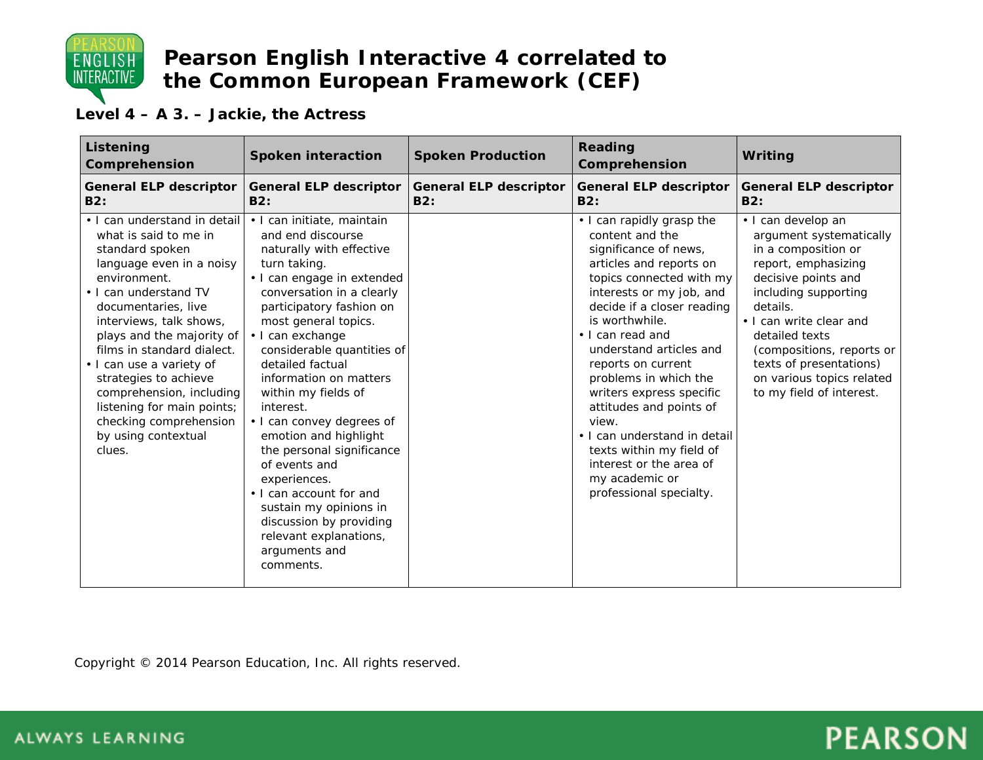

**Level 4 – A 3. – Jackie, the Actress**

| Listening<br>Comprehension                                                                                                                                                                                                                                                                                                                                                                                                           | <b>Spoken interaction</b>                                                                                                                                                                                                                                                                                                                                                                                                                                                                                                                                                                                  | <b>Spoken Production</b>             | Reading<br>Comprehension                                                                                                                                                                                                                                                                                                                                                                                                                                                                                   | Writing                                                                                                                                                                                                                                                                                                              |
|--------------------------------------------------------------------------------------------------------------------------------------------------------------------------------------------------------------------------------------------------------------------------------------------------------------------------------------------------------------------------------------------------------------------------------------|------------------------------------------------------------------------------------------------------------------------------------------------------------------------------------------------------------------------------------------------------------------------------------------------------------------------------------------------------------------------------------------------------------------------------------------------------------------------------------------------------------------------------------------------------------------------------------------------------------|--------------------------------------|------------------------------------------------------------------------------------------------------------------------------------------------------------------------------------------------------------------------------------------------------------------------------------------------------------------------------------------------------------------------------------------------------------------------------------------------------------------------------------------------------------|----------------------------------------------------------------------------------------------------------------------------------------------------------------------------------------------------------------------------------------------------------------------------------------------------------------------|
| <b>General ELP descriptor</b><br>B2:                                                                                                                                                                                                                                                                                                                                                                                                 | <b>General ELP descriptor</b><br>B2:                                                                                                                                                                                                                                                                                                                                                                                                                                                                                                                                                                       | <b>General ELP descriptor</b><br>B2: | <b>General ELP descriptor</b><br><b>B2:</b>                                                                                                                                                                                                                                                                                                                                                                                                                                                                | <b>General ELP descriptor</b><br>B2:                                                                                                                                                                                                                                                                                 |
| • I can understand in detail<br>what is said to me in<br>standard spoken<br>language even in a noisy<br>environment.<br>• I can understand TV<br>documentaries, live<br>interviews, talk shows,<br>plays and the majority of<br>films in standard dialect.<br>· I can use a variety of<br>strategies to achieve<br>comprehension, including<br>listening for main points;<br>checking comprehension<br>by using contextual<br>clues. | • I can initiate, maintain<br>and end discourse<br>naturally with effective<br>turn taking.<br>· I can engage in extended<br>conversation in a clearly<br>participatory fashion on<br>most general topics.<br>· I can exchange<br>considerable quantities of<br>detailed factual<br>information on matters<br>within my fields of<br>interest.<br>• I can convey degrees of<br>emotion and highlight<br>the personal significance<br>of events and<br>experiences.<br>• I can account for and<br>sustain my opinions in<br>discussion by providing<br>relevant explanations,<br>arguments and<br>comments. |                                      | • I can rapidly grasp the<br>content and the<br>significance of news,<br>articles and reports on<br>topics connected with my<br>interests or my job, and<br>decide if a closer reading<br>is worthwhile.<br>• I can read and<br>understand articles and<br>reports on current<br>problems in which the<br>writers express specific<br>attitudes and points of<br>view.<br>• I can understand in detail<br>texts within my field of<br>interest or the area of<br>my academic or<br>professional specialty. | · I can develop an<br>argument systematically<br>in a composition or<br>report, emphasizing<br>decisive points and<br>including supporting<br>details.<br>• I can write clear and<br>detailed texts<br>(compositions, reports or<br>texts of presentations)<br>on various topics related<br>to my field of interest. |

Copyright © 2014 Pearson Education, Inc. All rights reserved.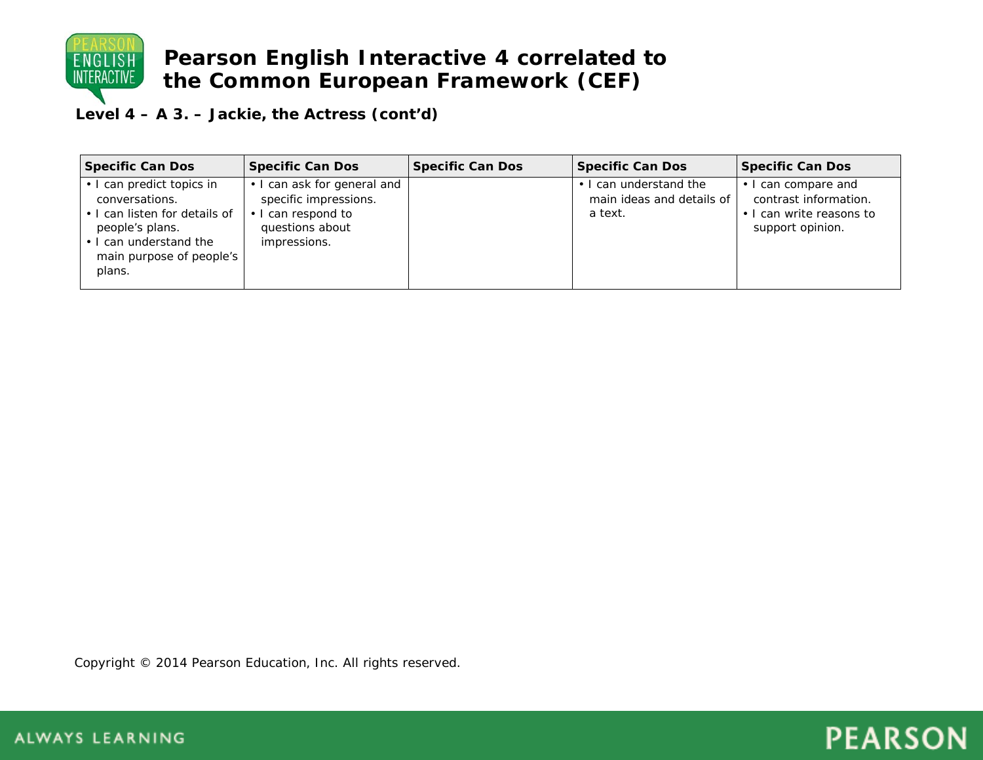

**Level 4 – A 3. – Jackie, the Actress (cont'd)**

| <b>Specific Can Dos</b>                                                                                                                                         | <b>Specific Can Dos</b>                                                                               | <b>Specific Can Dos</b> | Specific Can Dos                                               | Specific Can Dos                                                                             |
|-----------------------------------------------------------------------------------------------------------------------------------------------------------------|-------------------------------------------------------------------------------------------------------|-------------------------|----------------------------------------------------------------|----------------------------------------------------------------------------------------------|
| • I can predict topics in<br>conversations.<br>. I can listen for details of<br>people's plans.<br>• I can understand the<br>main purpose of people's<br>plans. | can ask for general and<br>specific impressions.<br>can respond to<br>questions about<br>impressions. |                         | • I can understand the<br>main ideas and details of<br>a text. | • I can compare and<br>contrast information.<br>• I can write reasons to<br>support opinion. |

Copyright © 2014 Pearson Education, Inc. All rights reserved.

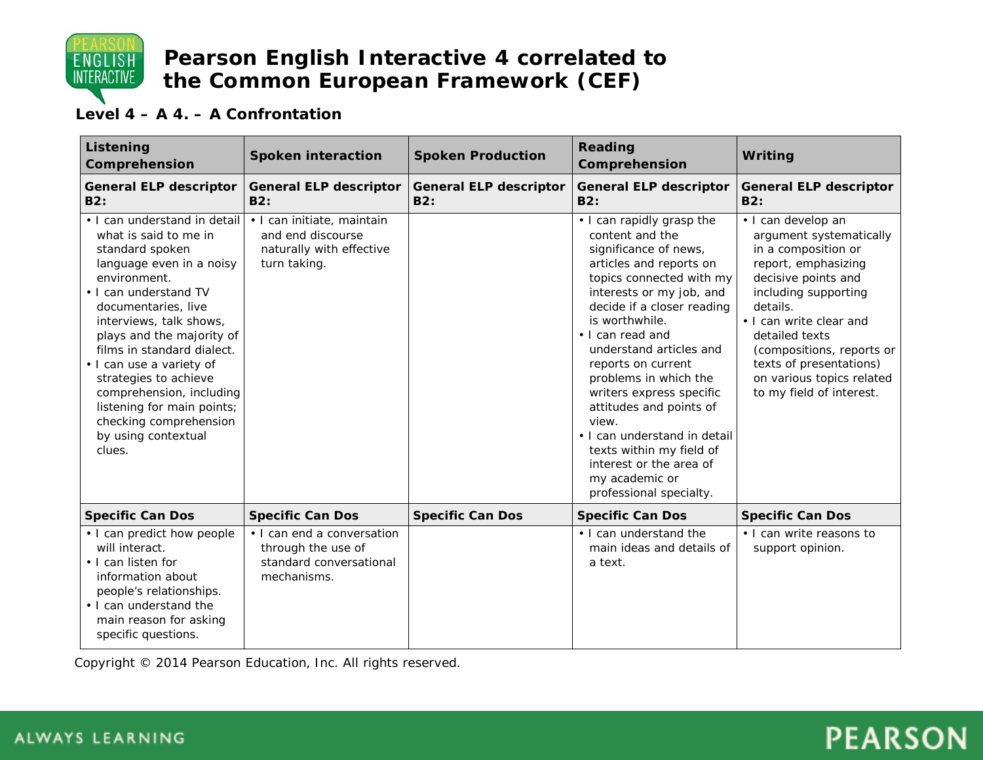

### **Level 4 – A 4. – A Confrontation**

| Listening<br>Comprehension                                                                                                                                                                                                                                                                                                                                                                                                           | <b>Spoken interaction</b>                                                                   | <b>Spoken Production</b>             | Reading<br>Comprehension                                                                                                                                                                                                                                                                                                                                                                                                                                                                                   | Writing                                                                                                                                                                                                                                                                                                              |
|--------------------------------------------------------------------------------------------------------------------------------------------------------------------------------------------------------------------------------------------------------------------------------------------------------------------------------------------------------------------------------------------------------------------------------------|---------------------------------------------------------------------------------------------|--------------------------------------|------------------------------------------------------------------------------------------------------------------------------------------------------------------------------------------------------------------------------------------------------------------------------------------------------------------------------------------------------------------------------------------------------------------------------------------------------------------------------------------------------------|----------------------------------------------------------------------------------------------------------------------------------------------------------------------------------------------------------------------------------------------------------------------------------------------------------------------|
| <b>General ELP descriptor</b><br>B2:                                                                                                                                                                                                                                                                                                                                                                                                 | <b>General ELP descriptor</b><br>B2:                                                        | <b>General ELP descriptor</b><br>B2: | <b>General ELP descriptor</b><br>B2:                                                                                                                                                                                                                                                                                                                                                                                                                                                                       | <b>General ELP descriptor</b><br>B2:                                                                                                                                                                                                                                                                                 |
| • I can understand in detail<br>what is said to me in<br>standard spoken<br>language even in a noisy<br>environment.<br>• I can understand TV<br>documentaries, live<br>interviews, talk shows,<br>plays and the majority of<br>films in standard dialect.<br>. I can use a variety of<br>strategies to achieve<br>comprehension, including<br>listening for main points;<br>checking comprehension<br>by using contextual<br>clues. | · I can initiate, maintain<br>and end discourse<br>naturally with effective<br>turn taking. |                                      | • I can rapidly grasp the<br>content and the<br>significance of news,<br>articles and reports on<br>topics connected with my<br>interests or my job, and<br>decide if a closer reading<br>is worthwhile.<br>• I can read and<br>understand articles and<br>reports on current<br>problems in which the<br>writers express specific<br>attitudes and points of<br>view.<br>• I can understand in detail<br>texts within my field of<br>interest or the area of<br>my academic or<br>professional specialty. | · I can develop an<br>argument systematically<br>in a composition or<br>report, emphasizing<br>decisive points and<br>including supporting<br>details.<br>• I can write clear and<br>detailed texts<br>(compositions, reports or<br>texts of presentations)<br>on various topics related<br>to my field of interest. |
| <b>Specific Can Dos</b>                                                                                                                                                                                                                                                                                                                                                                                                              | <b>Specific Can Dos</b>                                                                     | <b>Specific Can Dos</b>              | <b>Specific Can Dos</b>                                                                                                                                                                                                                                                                                                                                                                                                                                                                                    | <b>Specific Can Dos</b>                                                                                                                                                                                                                                                                                              |
| • I can predict how people<br>will interact.<br>• I can listen for<br>information about<br>people's relationships.<br>• I can understand the<br>main reason for asking<br>specific questions.                                                                                                                                                                                                                                        | • I can end a conversation<br>through the use of<br>standard conversational<br>mechanisms.  |                                      | • I can understand the<br>main ideas and details of<br>a text.                                                                                                                                                                                                                                                                                                                                                                                                                                             | • I can write reasons to<br>support opinion.                                                                                                                                                                                                                                                                         |

Copyright © 2014 Pearson Education, Inc. All rights reserved.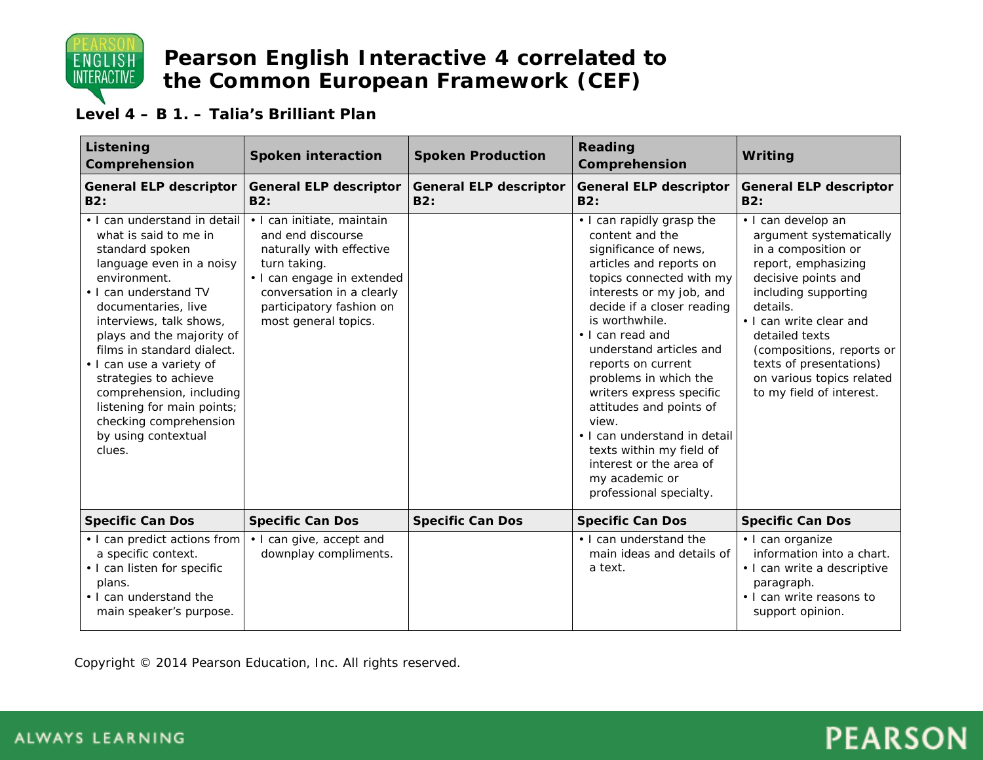

#### **Level 4 – B 1. – Talia's Brilliant Plan**

| Listening<br>Comprehension                                                                                                                                                                                                                                                                                                                                                                                                           | <b>Spoken interaction</b>                                                                                                                                                                                  | <b>Spoken Production</b>             | Reading<br>Comprehension                                                                                                                                                                                                                                                                                                                                                                                                                                                                                   | Writing                                                                                                                                                                                                                                                                                                              |
|--------------------------------------------------------------------------------------------------------------------------------------------------------------------------------------------------------------------------------------------------------------------------------------------------------------------------------------------------------------------------------------------------------------------------------------|------------------------------------------------------------------------------------------------------------------------------------------------------------------------------------------------------------|--------------------------------------|------------------------------------------------------------------------------------------------------------------------------------------------------------------------------------------------------------------------------------------------------------------------------------------------------------------------------------------------------------------------------------------------------------------------------------------------------------------------------------------------------------|----------------------------------------------------------------------------------------------------------------------------------------------------------------------------------------------------------------------------------------------------------------------------------------------------------------------|
| <b>General ELP descriptor</b><br>B2:                                                                                                                                                                                                                                                                                                                                                                                                 | <b>General ELP descriptor</b><br>B2:                                                                                                                                                                       | <b>General ELP descriptor</b><br>B2: | <b>General ELP descriptor</b><br>B2:                                                                                                                                                                                                                                                                                                                                                                                                                                                                       | <b>General ELP descriptor</b><br>B2:                                                                                                                                                                                                                                                                                 |
| • I can understand in detail<br>what is said to me in<br>standard spoken<br>language even in a noisy<br>environment.<br>• I can understand TV<br>documentaries, live<br>interviews, talk shows,<br>plays and the majority of<br>films in standard dialect.<br>· I can use a variety of<br>strategies to achieve<br>comprehension, including<br>listening for main points;<br>checking comprehension<br>by using contextual<br>clues. | · I can initiate, maintain<br>and end discourse<br>naturally with effective<br>turn taking.<br>• I can engage in extended<br>conversation in a clearly<br>participatory fashion on<br>most general topics. |                                      | • I can rapidly grasp the<br>content and the<br>significance of news,<br>articles and reports on<br>topics connected with my<br>interests or my job, and<br>decide if a closer reading<br>is worthwhile.<br>• I can read and<br>understand articles and<br>reports on current<br>problems in which the<br>writers express specific<br>attitudes and points of<br>view.<br>. I can understand in detail<br>texts within my field of<br>interest or the area of<br>my academic or<br>professional specialty. | · I can develop an<br>argument systematically<br>in a composition or<br>report, emphasizing<br>decisive points and<br>including supporting<br>details.<br>• I can write clear and<br>detailed texts<br>(compositions, reports or<br>texts of presentations)<br>on various topics related<br>to my field of interest. |
| <b>Specific Can Dos</b>                                                                                                                                                                                                                                                                                                                                                                                                              | <b>Specific Can Dos</b>                                                                                                                                                                                    | <b>Specific Can Dos</b>              | <b>Specific Can Dos</b>                                                                                                                                                                                                                                                                                                                                                                                                                                                                                    | <b>Specific Can Dos</b>                                                                                                                                                                                                                                                                                              |
| • I can predict actions from<br>a specific context.<br>• I can listen for specific<br>plans.<br>• I can understand the<br>main speaker's purpose.                                                                                                                                                                                                                                                                                    | • I can give, accept and<br>downplay compliments.                                                                                                                                                          |                                      | • I can understand the<br>main ideas and details of<br>a text.                                                                                                                                                                                                                                                                                                                                                                                                                                             | · I can organize<br>information into a chart.<br>· I can write a descriptive<br>paragraph.<br>• I can write reasons to<br>support opinion.                                                                                                                                                                           |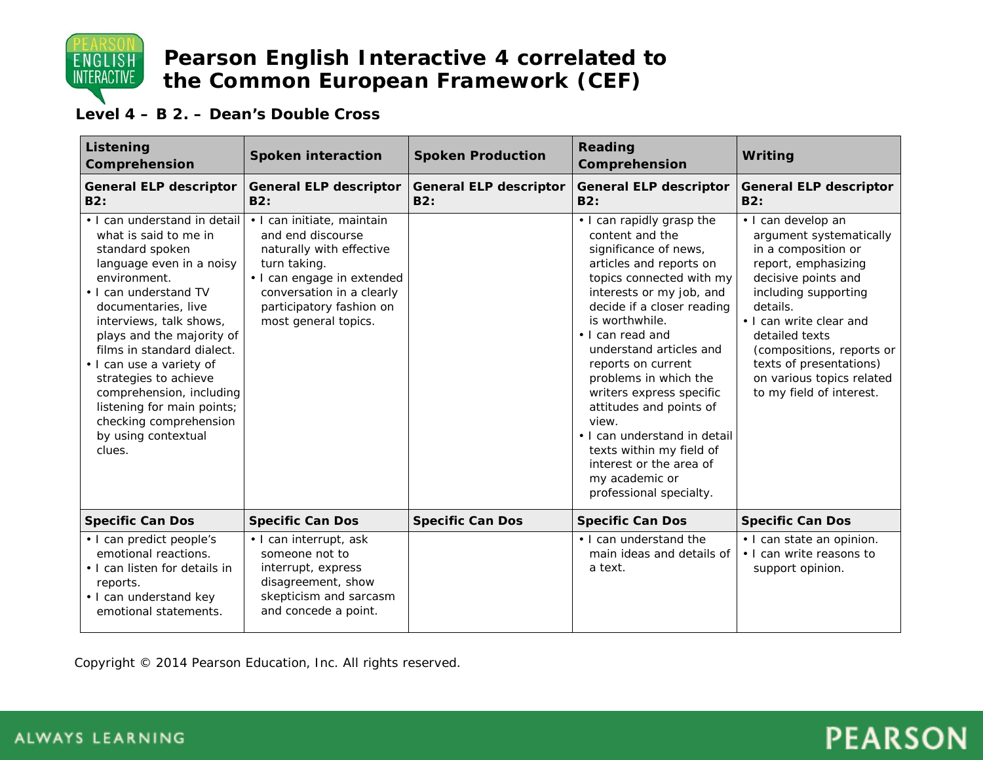

#### **Level 4 – B 2. – Dean's Double Cross**

| Listening<br>Comprehension                                                                                                                                                                                                                                                                                                                                                                                                           | <b>Spoken interaction</b>                                                                                                                                                                                  | <b>Spoken Production</b>             | Reading<br>Comprehension                                                                                                                                                                                                                                                                                                                                                                                                                                                                                   | Writing                                                                                                                                                                                                                                                                                                              |
|--------------------------------------------------------------------------------------------------------------------------------------------------------------------------------------------------------------------------------------------------------------------------------------------------------------------------------------------------------------------------------------------------------------------------------------|------------------------------------------------------------------------------------------------------------------------------------------------------------------------------------------------------------|--------------------------------------|------------------------------------------------------------------------------------------------------------------------------------------------------------------------------------------------------------------------------------------------------------------------------------------------------------------------------------------------------------------------------------------------------------------------------------------------------------------------------------------------------------|----------------------------------------------------------------------------------------------------------------------------------------------------------------------------------------------------------------------------------------------------------------------------------------------------------------------|
| <b>General ELP descriptor</b><br>B2:                                                                                                                                                                                                                                                                                                                                                                                                 | <b>General ELP descriptor</b><br>B2:                                                                                                                                                                       | <b>General ELP descriptor</b><br>B2: | General ELP descriptor<br>B2:                                                                                                                                                                                                                                                                                                                                                                                                                                                                              | <b>General ELP descriptor</b><br><b>B2:</b>                                                                                                                                                                                                                                                                          |
| . I can understand in detail<br>what is said to me in<br>standard spoken<br>language even in a noisy<br>environment.<br>• I can understand TV<br>documentaries, live<br>interviews, talk shows,<br>plays and the majority of<br>films in standard dialect.<br>. I can use a variety of<br>strategies to achieve<br>comprehension, including<br>listening for main points;<br>checking comprehension<br>by using contextual<br>clues. | · I can initiate, maintain<br>and end discourse<br>naturally with effective<br>turn taking.<br>• I can engage in extended<br>conversation in a clearly<br>participatory fashion on<br>most general topics. |                                      | • I can rapidly grasp the<br>content and the<br>significance of news,<br>articles and reports on<br>topics connected with my<br>interests or my job, and<br>decide if a closer reading<br>is worthwhile.<br>• I can read and<br>understand articles and<br>reports on current<br>problems in which the<br>writers express specific<br>attitudes and points of<br>view.<br>• I can understand in detail<br>texts within my field of<br>interest or the area of<br>my academic or<br>professional specialty. | · I can develop an<br>argument systematically<br>in a composition or<br>report, emphasizing<br>decisive points and<br>including supporting<br>details.<br>• I can write clear and<br>detailed texts<br>(compositions, reports or<br>texts of presentations)<br>on various topics related<br>to my field of interest. |
| <b>Specific Can Dos</b>                                                                                                                                                                                                                                                                                                                                                                                                              | <b>Specific Can Dos</b>                                                                                                                                                                                    | <b>Specific Can Dos</b>              | <b>Specific Can Dos</b>                                                                                                                                                                                                                                                                                                                                                                                                                                                                                    | <b>Specific Can Dos</b>                                                                                                                                                                                                                                                                                              |
| • I can predict people's<br>emotional reactions.<br>• I can listen for details in<br>reports.<br>• I can understand key<br>emotional statements.                                                                                                                                                                                                                                                                                     | • I can interrupt, ask<br>someone not to<br>interrupt, express<br>disagreement, show<br>skepticism and sarcasm<br>and concede a point.                                                                     |                                      | . I can understand the<br>main ideas and details of<br>a text.                                                                                                                                                                                                                                                                                                                                                                                                                                             | • I can state an opinion.<br>. I can write reasons to<br>support opinion.                                                                                                                                                                                                                                            |

Copyright © 2014 Pearson Education, Inc. All rights reserved.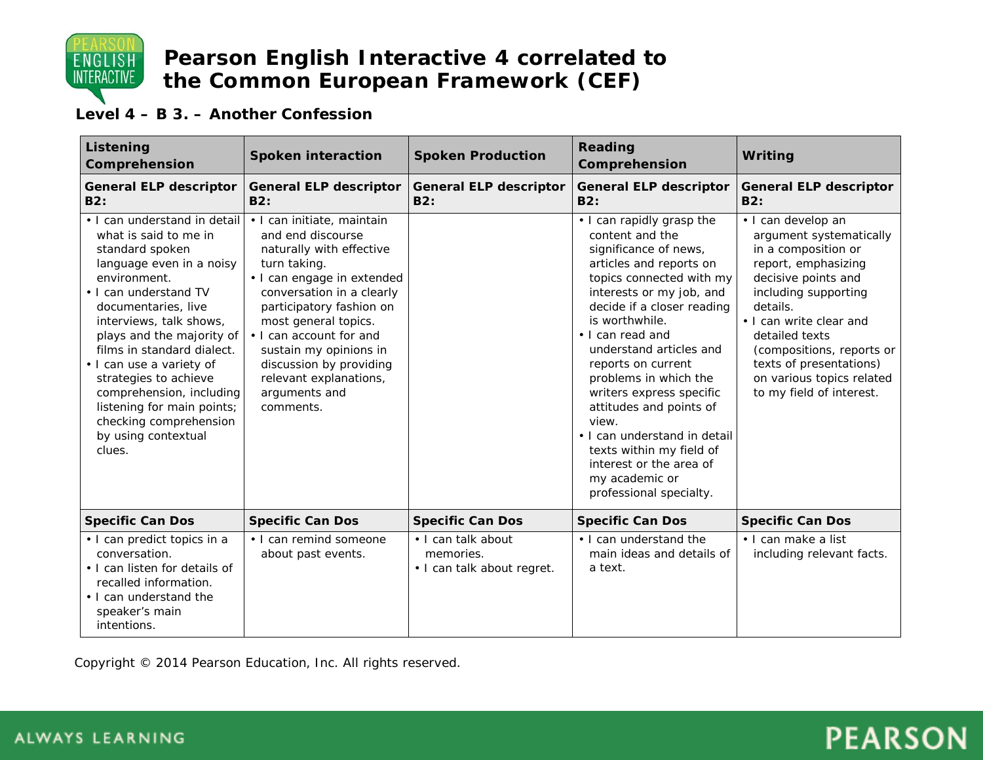

#### **Level 4 – B 3. – Another Confession**

| Listening<br>Comprehension                                                                                                                                                                                                                                                                                                                                                                                                           | <b>Spoken interaction</b>                                                                                                                                                                                                                                                                                                                          | <b>Spoken Production</b>                                      | <b>Reading</b><br>Comprehension                                                                                                                                                                                                                                                                                                                                                                                                                                                                            | Writing                                                                                                                                                                                                                                                                                                              |
|--------------------------------------------------------------------------------------------------------------------------------------------------------------------------------------------------------------------------------------------------------------------------------------------------------------------------------------------------------------------------------------------------------------------------------------|----------------------------------------------------------------------------------------------------------------------------------------------------------------------------------------------------------------------------------------------------------------------------------------------------------------------------------------------------|---------------------------------------------------------------|------------------------------------------------------------------------------------------------------------------------------------------------------------------------------------------------------------------------------------------------------------------------------------------------------------------------------------------------------------------------------------------------------------------------------------------------------------------------------------------------------------|----------------------------------------------------------------------------------------------------------------------------------------------------------------------------------------------------------------------------------------------------------------------------------------------------------------------|
| <b>General ELP descriptor</b><br>B2:                                                                                                                                                                                                                                                                                                                                                                                                 | <b>General ELP descriptor</b><br><b>B2:</b>                                                                                                                                                                                                                                                                                                        | <b>General ELP descriptor</b><br><b>B2:</b>                   | <b>General ELP descriptor</b><br><b>B2:</b>                                                                                                                                                                                                                                                                                                                                                                                                                                                                | <b>General ELP descriptor</b><br><b>B2:</b>                                                                                                                                                                                                                                                                          |
| • I can understand in detail<br>what is said to me in<br>standard spoken<br>language even in a noisy<br>environment.<br>• I can understand TV<br>documentaries, live<br>interviews, talk shows,<br>plays and the majority of<br>films in standard dialect.<br>· I can use a variety of<br>strategies to achieve<br>comprehension, including<br>listening for main points;<br>checking comprehension<br>by using contextual<br>clues. | · I can initiate, maintain<br>and end discourse<br>naturally with effective<br>turn taking.<br>• I can engage in extended<br>conversation in a clearly<br>participatory fashion on<br>most general topics.<br>• I can account for and<br>sustain my opinions in<br>discussion by providing<br>relevant explanations,<br>arguments and<br>comments. |                                                               | • I can rapidly grasp the<br>content and the<br>significance of news,<br>articles and reports on<br>topics connected with my<br>interests or my job, and<br>decide if a closer reading<br>is worthwhile.<br>• I can read and<br>understand articles and<br>reports on current<br>problems in which the<br>writers express specific<br>attitudes and points of<br>view.<br>• I can understand in detail<br>texts within my field of<br>interest or the area of<br>my academic or<br>professional specialty. | · I can develop an<br>argument systematically<br>in a composition or<br>report, emphasizing<br>decisive points and<br>including supporting<br>details.<br>• I can write clear and<br>detailed texts<br>(compositions, reports or<br>texts of presentations)<br>on various topics related<br>to my field of interest. |
| <b>Specific Can Dos</b>                                                                                                                                                                                                                                                                                                                                                                                                              | <b>Specific Can Dos</b>                                                                                                                                                                                                                                                                                                                            | <b>Specific Can Dos</b>                                       | <b>Specific Can Dos</b>                                                                                                                                                                                                                                                                                                                                                                                                                                                                                    | <b>Specific Can Dos</b>                                                                                                                                                                                                                                                                                              |
| • I can predict topics in a<br>conversation.<br>• I can listen for details of<br>recalled information.<br>• I can understand the<br>speaker's main<br>intentions.                                                                                                                                                                                                                                                                    | • I can remind someone<br>about past events.                                                                                                                                                                                                                                                                                                       | · I can talk about<br>memories.<br>· I can talk about regret. | • I can understand the<br>main ideas and details of<br>a text.                                                                                                                                                                                                                                                                                                                                                                                                                                             | · I can make a list<br>including relevant facts.                                                                                                                                                                                                                                                                     |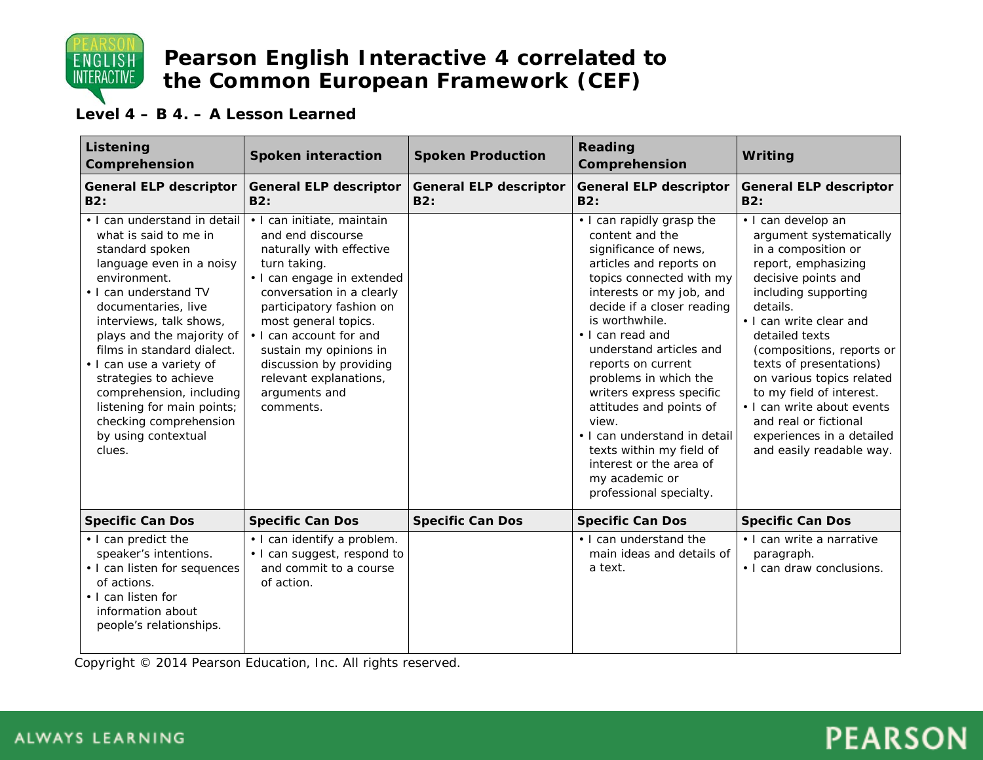

### **Level 4 – B 4. – A Lesson Learned**

| Listening<br>Comprehension                                                                                                                                                                                                                                                                                                                                                                                                           | <b>Spoken interaction</b>                                                                                                                                                                                                                                                                                                                          | <b>Spoken Production</b>             | Reading<br>Comprehension                                                                                                                                                                                                                                                                                                                                                                                                                                                                                   | Writing                                                                                                                                                                                                                                                                                                                                                                                                                              |
|--------------------------------------------------------------------------------------------------------------------------------------------------------------------------------------------------------------------------------------------------------------------------------------------------------------------------------------------------------------------------------------------------------------------------------------|----------------------------------------------------------------------------------------------------------------------------------------------------------------------------------------------------------------------------------------------------------------------------------------------------------------------------------------------------|--------------------------------------|------------------------------------------------------------------------------------------------------------------------------------------------------------------------------------------------------------------------------------------------------------------------------------------------------------------------------------------------------------------------------------------------------------------------------------------------------------------------------------------------------------|--------------------------------------------------------------------------------------------------------------------------------------------------------------------------------------------------------------------------------------------------------------------------------------------------------------------------------------------------------------------------------------------------------------------------------------|
| <b>General ELP descriptor</b><br><b>B2:</b>                                                                                                                                                                                                                                                                                                                                                                                          | <b>General ELP descriptor</b><br>B2:                                                                                                                                                                                                                                                                                                               | <b>General ELP descriptor</b><br>B2: | <b>General ELP descriptor</b><br><b>B2:</b>                                                                                                                                                                                                                                                                                                                                                                                                                                                                | <b>General ELP descriptor</b><br><b>B2:</b>                                                                                                                                                                                                                                                                                                                                                                                          |
| • I can understand in detail<br>what is said to me in<br>standard spoken<br>language even in a noisy<br>environment.<br>• I can understand TV<br>documentaries, live<br>interviews, talk shows,<br>plays and the majority of<br>films in standard dialect.<br>· I can use a variety of<br>strategies to achieve<br>comprehension, including<br>listening for main points;<br>checking comprehension<br>by using contextual<br>clues. | · I can initiate, maintain<br>and end discourse<br>naturally with effective<br>turn taking.<br>• I can engage in extended<br>conversation in a clearly<br>participatory fashion on<br>most general topics.<br>• I can account for and<br>sustain my opinions in<br>discussion by providing<br>relevant explanations,<br>arguments and<br>comments. |                                      | • I can rapidly grasp the<br>content and the<br>significance of news,<br>articles and reports on<br>topics connected with my<br>interests or my job, and<br>decide if a closer reading<br>is worthwhile.<br>• I can read and<br>understand articles and<br>reports on current<br>problems in which the<br>writers express specific<br>attitudes and points of<br>view.<br>• I can understand in detail<br>texts within my field of<br>interest or the area of<br>my academic or<br>professional specialty. | · I can develop an<br>argument systematically<br>in a composition or<br>report, emphasizing<br>decisive points and<br>including supporting<br>details.<br>• I can write clear and<br>detailed texts<br>(compositions, reports or<br>texts of presentations)<br>on various topics related<br>to my field of interest.<br>• I can write about events<br>and real or fictional<br>experiences in a detailed<br>and easily readable way. |
| <b>Specific Can Dos</b>                                                                                                                                                                                                                                                                                                                                                                                                              | <b>Specific Can Dos</b>                                                                                                                                                                                                                                                                                                                            | <b>Specific Can Dos</b>              | <b>Specific Can Dos</b>                                                                                                                                                                                                                                                                                                                                                                                                                                                                                    | <b>Specific Can Dos</b>                                                                                                                                                                                                                                                                                                                                                                                                              |
| • I can predict the<br>speaker's intentions.<br>• I can listen for sequences<br>of actions.<br>• I can listen for<br>information about<br>people's relationships.                                                                                                                                                                                                                                                                    | • I can identify a problem.<br>• I can suggest, respond to<br>and commit to a course<br>of action.                                                                                                                                                                                                                                                 |                                      | • I can understand the<br>main ideas and details of<br>a text.                                                                                                                                                                                                                                                                                                                                                                                                                                             | • I can write a narrative<br>paragraph.<br>• I can draw conclusions.                                                                                                                                                                                                                                                                                                                                                                 |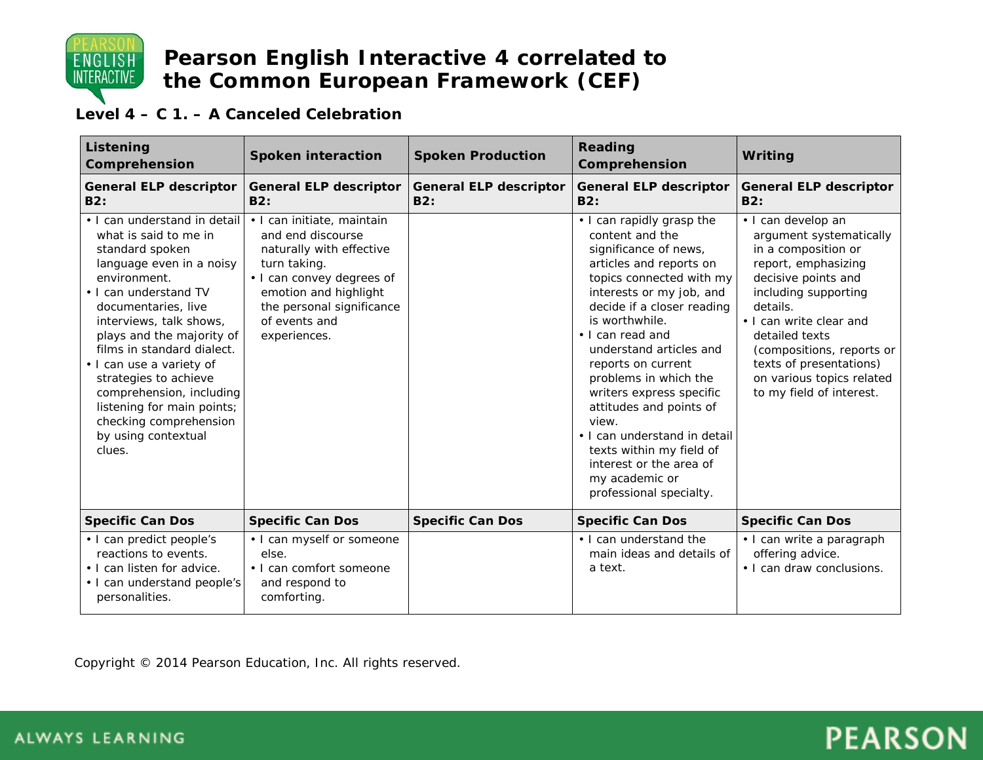

### **Level 4 – C 1. – A Canceled Celebration**

| Listening<br>Comprehension                                                                                                                                                                                                                                                                                                                                                                                                           | <b>Spoken interaction</b>                                                                                                                                                                                       | <b>Spoken Production</b>             | Reading<br>Comprehension                                                                                                                                                                                                                                                                                                                                                                                                                                                                                   | Writing                                                                                                                                                                                                                                                                                                              |
|--------------------------------------------------------------------------------------------------------------------------------------------------------------------------------------------------------------------------------------------------------------------------------------------------------------------------------------------------------------------------------------------------------------------------------------|-----------------------------------------------------------------------------------------------------------------------------------------------------------------------------------------------------------------|--------------------------------------|------------------------------------------------------------------------------------------------------------------------------------------------------------------------------------------------------------------------------------------------------------------------------------------------------------------------------------------------------------------------------------------------------------------------------------------------------------------------------------------------------------|----------------------------------------------------------------------------------------------------------------------------------------------------------------------------------------------------------------------------------------------------------------------------------------------------------------------|
| <b>General ELP descriptor</b><br>B2:                                                                                                                                                                                                                                                                                                                                                                                                 | <b>General ELP descriptor</b><br>B2:                                                                                                                                                                            | <b>General ELP descriptor</b><br>B2: | <b>General ELP descriptor</b><br>B2:                                                                                                                                                                                                                                                                                                                                                                                                                                                                       | <b>General ELP descriptor</b><br>B2:                                                                                                                                                                                                                                                                                 |
| . I can understand in detail<br>what is said to me in<br>standard spoken<br>language even in a noisy<br>environment.<br>• I can understand TV<br>documentaries, live<br>interviews, talk shows,<br>plays and the majority of<br>films in standard dialect.<br>· I can use a variety of<br>strategies to achieve<br>comprehension, including<br>listening for main points;<br>checking comprehension<br>by using contextual<br>clues. | · I can initiate, maintain<br>and end discourse<br>naturally with effective<br>turn taking.<br>• I can convey degrees of<br>emotion and highlight<br>the personal significance<br>of events and<br>experiences. |                                      | • I can rapidly grasp the<br>content and the<br>significance of news,<br>articles and reports on<br>topics connected with my<br>interests or my job, and<br>decide if a closer reading<br>is worthwhile.<br>• I can read and<br>understand articles and<br>reports on current<br>problems in which the<br>writers express specific<br>attitudes and points of<br>view.<br>• I can understand in detail<br>texts within my field of<br>interest or the area of<br>my academic or<br>professional specialty. | · I can develop an<br>argument systematically<br>in a composition or<br>report, emphasizing<br>decisive points and<br>including supporting<br>details.<br>• I can write clear and<br>detailed texts<br>(compositions, reports or<br>texts of presentations)<br>on various topics related<br>to my field of interest. |
| <b>Specific Can Dos</b>                                                                                                                                                                                                                                                                                                                                                                                                              | <b>Specific Can Dos</b>                                                                                                                                                                                         | <b>Specific Can Dos</b>              | <b>Specific Can Dos</b>                                                                                                                                                                                                                                                                                                                                                                                                                                                                                    | <b>Specific Can Dos</b>                                                                                                                                                                                                                                                                                              |
| • I can predict people's<br>reactions to events.<br>• I can listen for advice.<br>• I can understand people's<br>personalities.                                                                                                                                                                                                                                                                                                      | • I can myself or someone<br>else.<br>• I can comfort someone<br>and respond to<br>comforting.                                                                                                                  |                                      | • I can understand the<br>main ideas and details of<br>a text.                                                                                                                                                                                                                                                                                                                                                                                                                                             | · I can write a paragraph<br>offering advice.<br>• I can draw conclusions.                                                                                                                                                                                                                                           |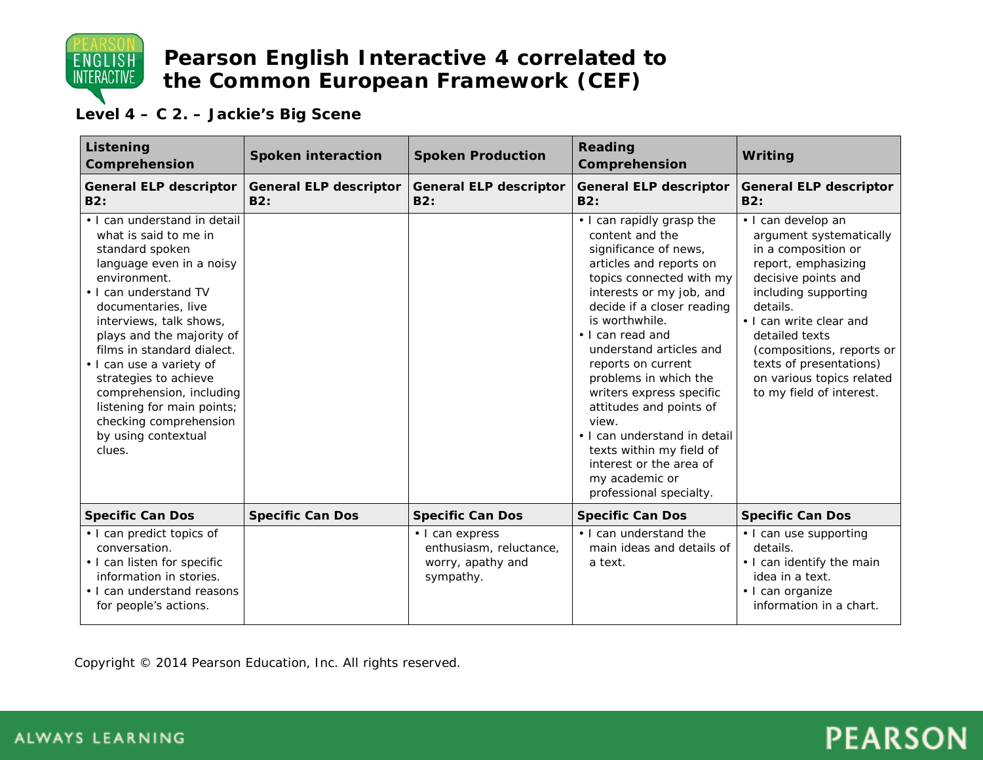

### **Level 4 – C 2. – Jackie's Big Scene**

| Listening<br>Comprehension                                                                                                                                                                                                                                                                                                                                                                                                           | <b>Spoken interaction</b>            | <b>Spoken Production</b>                                                     | Reading<br>Comprehension                                                                                                                                                                                                                                                                                                                                                                                                                                                                                   | Writing                                                                                                                                                                                                                                                                                                              |
|--------------------------------------------------------------------------------------------------------------------------------------------------------------------------------------------------------------------------------------------------------------------------------------------------------------------------------------------------------------------------------------------------------------------------------------|--------------------------------------|------------------------------------------------------------------------------|------------------------------------------------------------------------------------------------------------------------------------------------------------------------------------------------------------------------------------------------------------------------------------------------------------------------------------------------------------------------------------------------------------------------------------------------------------------------------------------------------------|----------------------------------------------------------------------------------------------------------------------------------------------------------------------------------------------------------------------------------------------------------------------------------------------------------------------|
| General ELP descriptor<br>B2:                                                                                                                                                                                                                                                                                                                                                                                                        | <b>General ELP descriptor</b><br>B2: | <b>General ELP descriptor</b><br>B2:                                         | General ELP descriptor<br>B2:                                                                                                                                                                                                                                                                                                                                                                                                                                                                              | <b>General ELP descriptor</b><br>B2:                                                                                                                                                                                                                                                                                 |
| . I can understand in detail<br>what is said to me in<br>standard spoken<br>language even in a noisy<br>environment.<br>• I can understand TV<br>documentaries, live<br>interviews, talk shows,<br>plays and the majority of<br>films in standard dialect.<br>· I can use a variety of<br>strategies to achieve<br>comprehension, including<br>listening for main points;<br>checking comprehension<br>by using contextual<br>clues. |                                      |                                                                              | • I can rapidly grasp the<br>content and the<br>significance of news,<br>articles and reports on<br>topics connected with my<br>interests or my job, and<br>decide if a closer reading<br>is worthwhile.<br>• I can read and<br>understand articles and<br>reports on current<br>problems in which the<br>writers express specific<br>attitudes and points of<br>view.<br>• I can understand in detail<br>texts within my field of<br>interest or the area of<br>my academic or<br>professional specialty. | · I can develop an<br>argument systematically<br>in a composition or<br>report, emphasizing<br>decisive points and<br>including supporting<br>details.<br>• I can write clear and<br>detailed texts<br>(compositions, reports or<br>texts of presentations)<br>on various topics related<br>to my field of interest. |
| <b>Specific Can Dos</b>                                                                                                                                                                                                                                                                                                                                                                                                              | <b>Specific Can Dos</b>              | <b>Specific Can Dos</b>                                                      | <b>Specific Can Dos</b>                                                                                                                                                                                                                                                                                                                                                                                                                                                                                    | <b>Specific Can Dos</b>                                                                                                                                                                                                                                                                                              |
| • I can predict topics of<br>conversation.<br>• I can listen for specific<br>information in stories.<br>• I can understand reasons<br>for people's actions.                                                                                                                                                                                                                                                                          |                                      | • I can express<br>enthusiasm, reluctance,<br>worry, apathy and<br>sympathy. | • I can understand the<br>main ideas and details of<br>a text.                                                                                                                                                                                                                                                                                                                                                                                                                                             | • I can use supporting<br>details.<br>• I can identify the main<br>idea in a text.<br>· I can organize<br>information in a chart.                                                                                                                                                                                    |

Copyright © 2014 Pearson Education, Inc. All rights reserved.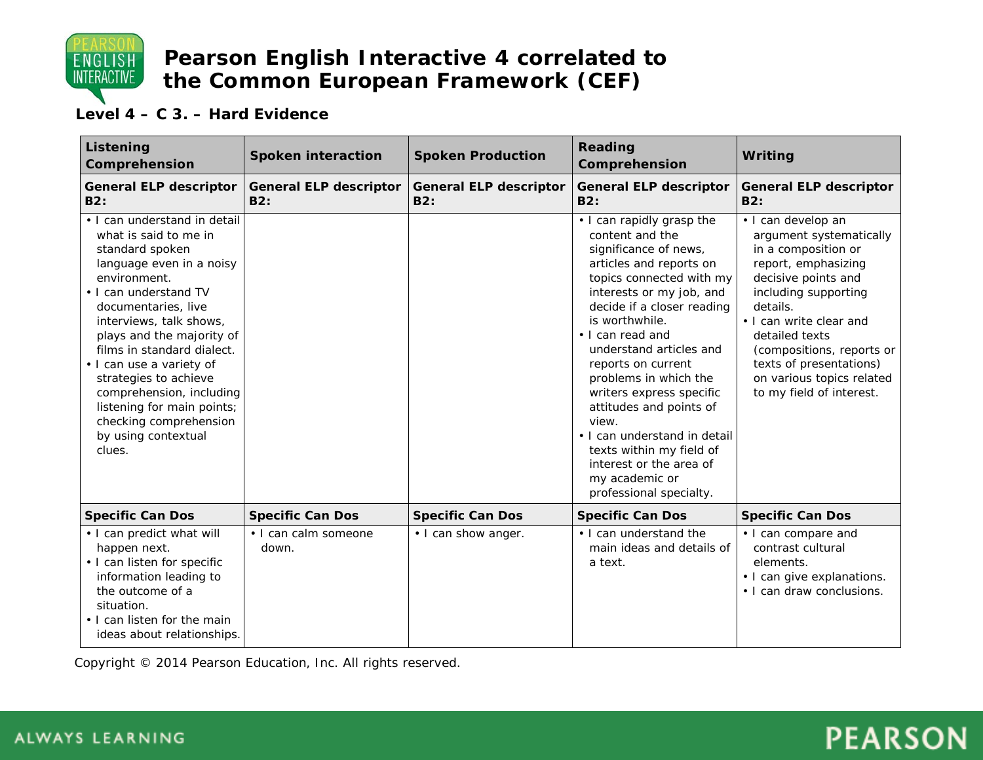

#### **Level 4 – C 3. – Hard Evidence**

| Listening<br>Comprehension                                                                                                                                                                                                                                                                                                                                                                                                           | <b>Spoken interaction</b>            | <b>Spoken Production</b>             | <b>Reading</b><br>Comprehension                                                                                                                                                                                                                                                                                                                                                                                                                                                                            | Writing                                                                                                                                                                                                                                                                                                              |
|--------------------------------------------------------------------------------------------------------------------------------------------------------------------------------------------------------------------------------------------------------------------------------------------------------------------------------------------------------------------------------------------------------------------------------------|--------------------------------------|--------------------------------------|------------------------------------------------------------------------------------------------------------------------------------------------------------------------------------------------------------------------------------------------------------------------------------------------------------------------------------------------------------------------------------------------------------------------------------------------------------------------------------------------------------|----------------------------------------------------------------------------------------------------------------------------------------------------------------------------------------------------------------------------------------------------------------------------------------------------------------------|
| <b>General ELP descriptor</b><br>B2:                                                                                                                                                                                                                                                                                                                                                                                                 | <b>General ELP descriptor</b><br>B2: | <b>General ELP descriptor</b><br>B2: | <b>General ELP descriptor</b><br>B2:                                                                                                                                                                                                                                                                                                                                                                                                                                                                       | <b>General ELP descriptor</b><br>B2:                                                                                                                                                                                                                                                                                 |
| • I can understand in detail<br>what is said to me in<br>standard spoken<br>language even in a noisy<br>environment.<br>• I can understand TV<br>documentaries, live<br>interviews, talk shows,<br>plays and the majority of<br>films in standard dialect.<br>· I can use a variety of<br>strategies to achieve<br>comprehension, including<br>listening for main points;<br>checking comprehension<br>by using contextual<br>clues. |                                      |                                      | • I can rapidly grasp the<br>content and the<br>significance of news,<br>articles and reports on<br>topics connected with my<br>interests or my job, and<br>decide if a closer reading<br>is worthwhile.<br>· I can read and<br>understand articles and<br>reports on current<br>problems in which the<br>writers express specific<br>attitudes and points of<br>view.<br>• I can understand in detail<br>texts within my field of<br>interest or the area of<br>my academic or<br>professional specialty. | · I can develop an<br>argument systematically<br>in a composition or<br>report, emphasizing<br>decisive points and<br>including supporting<br>details.<br>• I can write clear and<br>detailed texts<br>(compositions, reports or<br>texts of presentations)<br>on various topics related<br>to my field of interest. |
| <b>Specific Can Dos</b>                                                                                                                                                                                                                                                                                                                                                                                                              | <b>Specific Can Dos</b>              | <b>Specific Can Dos</b>              | <b>Specific Can Dos</b>                                                                                                                                                                                                                                                                                                                                                                                                                                                                                    | <b>Specific Can Dos</b>                                                                                                                                                                                                                                                                                              |
| · I can predict what will<br>happen next.<br>• I can listen for specific<br>information leading to<br>the outcome of a<br>situation.<br>• I can listen for the main<br>ideas about relationships.                                                                                                                                                                                                                                    | • I can calm someone<br>down.        | • I can show anger.                  | • I can understand the<br>main ideas and details of<br>a text.                                                                                                                                                                                                                                                                                                                                                                                                                                             | • I can compare and<br>contrast cultural<br>elements.<br>• I can give explanations.<br>• I can draw conclusions.                                                                                                                                                                                                     |